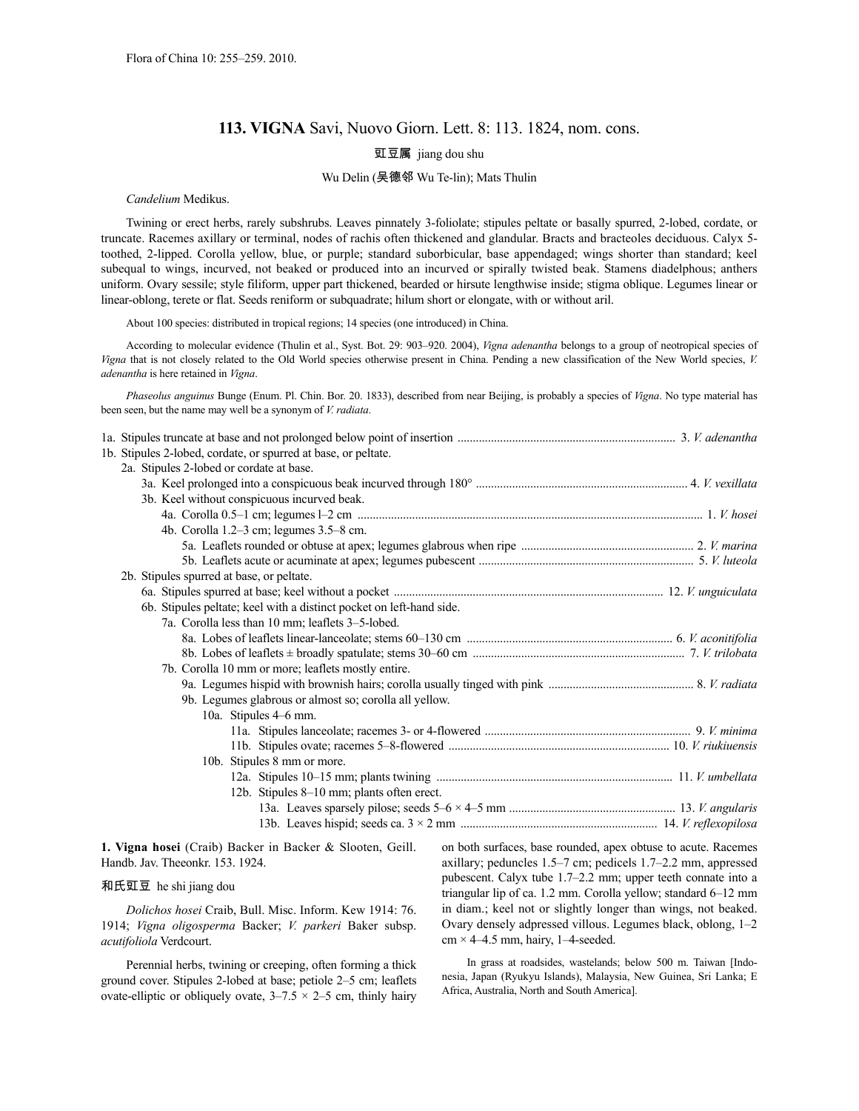# **113. VIGNA** Savi, Nuovo Giorn. Lett. 8: 113. 1824, nom. cons.

# 豇豆属 jiang dou shu

### Wu Delin (吴德邻 Wu Te-lin); Mats Thulin

*Candelium* Medikus.

Twining or erect herbs, rarely subshrubs. Leaves pinnately 3-foliolate; stipules peltate or basally spurred, 2-lobed, cordate, or truncate. Racemes axillary or terminal, nodes of rachis often thickened and glandular. Bracts and bracteoles deciduous. Calyx 5 toothed, 2-lipped. Corolla yellow, blue, or purple; standard suborbicular, base appendaged; wings shorter than standard; keel subequal to wings, incurved, not beaked or produced into an incurved or spirally twisted beak. Stamens diadelphous; anthers uniform. Ovary sessile; style filiform, upper part thickened, bearded or hirsute lengthwise inside; stigma oblique. Legumes linear or linear-oblong, terete or flat. Seeds reniform or subquadrate; hilum short or elongate, with or without aril.

About 100 species: distributed in tropical regions; 14 species (one introduced) in China.

According to molecular evidence (Thulin et al., Syst. Bot. 29: 903–920. 2004), *Vigna adenantha* belongs to a group of neotropical species of *Vigna* that is not closely related to the Old World species otherwise present in China. Pending a new classification of the New World species, *V. adenantha* is here retained in *Vigna*.

*Phaseolus anguinus* Bunge (Enum. Pl. Chin. Bor. 20. 1833), described from near Beijing, is probably a species of *Vigna*. No type material has been seen, but the name may well be a synonym of *V. radiata*.

|  | 1b. Stipules 2-lobed, cordate, or spurred at base, or peltate.       |  |
|--|----------------------------------------------------------------------|--|
|  | 2a. Stipules 2-lobed or cordate at base.                             |  |
|  |                                                                      |  |
|  | 3b. Keel without conspicuous incurved beak.                          |  |
|  |                                                                      |  |
|  | 4b. Corolla $1.2-3$ cm; legumes $3.5-8$ cm.                          |  |
|  |                                                                      |  |
|  |                                                                      |  |
|  | 2b. Stipules spurred at base, or peltate.                            |  |
|  |                                                                      |  |
|  | 6b. Stipules peltate; keel with a distinct pocket on left-hand side. |  |
|  | 7a. Corolla less than 10 mm; leaflets 3-5-lobed.                     |  |
|  |                                                                      |  |
|  |                                                                      |  |
|  | 7b. Corolla 10 mm or more; leaflets mostly entire.                   |  |
|  |                                                                      |  |
|  | 9b. Legumes glabrous or almost so; corolla all yellow.               |  |
|  | 10a. Stipules 4–6 mm.                                                |  |
|  |                                                                      |  |
|  |                                                                      |  |
|  | 10b. Stipules 8 mm or more.                                          |  |
|  |                                                                      |  |
|  | 12b. Stipules 8-10 mm; plants often erect.                           |  |
|  |                                                                      |  |
|  |                                                                      |  |

**1. Vigna hosei** (Craib) Backer in Backer & Slooten, Geill. Handb. Jav. Theeonkr. 153. 1924.

### 和氏豇豆 he shi jiang dou

*Dolichos hosei* Craib, Bull. Misc. Inform. Kew 1914: 76. 1914; *Vigna oligosperma* Backer; *V. parkeri* Baker subsp. *acutifoliola* Verdcourt.

Perennial herbs, twining or creeping, often forming a thick ground cover. Stipules 2-lobed at base; petiole 2–5 cm; leaflets ovate-elliptic or obliquely ovate,  $3-7.5 \times 2-5$  cm, thinly hairy on both surfaces, base rounded, apex obtuse to acute. Racemes axillary; peduncles 1.5–7 cm; pedicels 1.7–2.2 mm, appressed pubescent. Calyx tube 1.7–2.2 mm; upper teeth connate into a triangular lip of ca. 1.2 mm. Corolla yellow; standard 6–12 mm in diam.; keel not or slightly longer than wings, not beaked. Ovary densely adpressed villous. Legumes black, oblong, 1–2  $cm \times 4-4.5$  mm, hairy, 1-4-seeded.

In grass at roadsides, wastelands; below 500 m. Taiwan [Indonesia, Japan (Ryukyu Islands), Malaysia, New Guinea, Sri Lanka; E Africa, Australia, North and South America].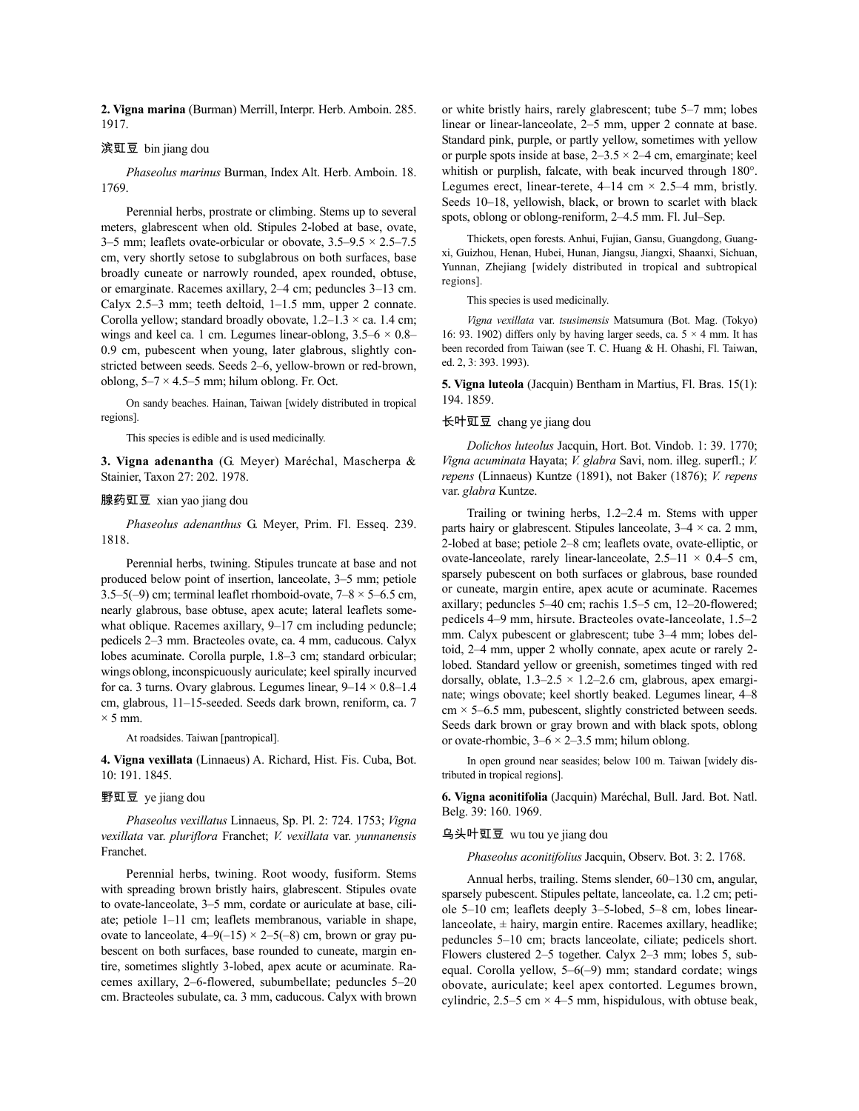2. Vigna marina (Burman) Merrill, Interpr. Herb. Amboin. 285. 1917.

## 滨豇豆 bin jiang dou

*Phaseolus marinus* Burman, Index Alt. Herb. Amboin. 18. 1769.

Perennial herbs, prostrate or climbing. Stems up to several meters, glabrescent when old. Stipules 2-lobed at base, ovate, 3–5 mm; leaflets ovate-orbicular or obovate,  $3.5-9.5 \times 2.5-7.5$ cm, very shortly setose to subglabrous on both surfaces, base broadly cuneate or narrowly rounded, apex rounded, obtuse, or emarginate. Racemes axillary, 2–4 cm; peduncles 3–13 cm. Calyx 2.5–3 mm; teeth deltoid, 1–1.5 mm, upper 2 connate. Corolla yellow; standard broadly obovate,  $1.2-1.3 \times$  ca. 1.4 cm; wings and keel ca. 1 cm. Legumes linear-oblong,  $3.5-6 \times 0.8$ – 0.9 cm, pubescent when young, later glabrous, slightly constricted between seeds. Seeds 2–6, yellow-brown or red-brown, oblong,  $5-7 \times 4.5-5$  mm; hilum oblong. Fr. Oct.

On sandy beaches. Hainan, Taiwan [widely distributed in tropical regions].

This species is edible and is used medicinally.

**3. Vigna adenantha** (G. Meyer) Maréchal, Mascherpa & Stainier, Taxon 27: 202. 1978.

### 腺药豇豆 xian yao jiang dou

*Phaseolus adenanthus* G. Meyer, Prim. Fl. Esseq. 239. 1818.

Perennial herbs, twining. Stipules truncate at base and not produced below point of insertion, lanceolate, 3–5 mm; petiole 3.5–5(-9) cm; terminal leaflet rhomboid-ovate,  $7-8 \times 5-6.5$  cm, nearly glabrous, base obtuse, apex acute; lateral leaflets somewhat oblique. Racemes axillary, 9–17 cm including peduncle; pedicels 2–3 mm. Bracteoles ovate, ca. 4 mm, caducous. Calyx lobes acuminate. Corolla purple, 1.8–3 cm; standard orbicular; wings oblong, inconspicuously auriculate; keel spirally incurved for ca. 3 turns. Ovary glabrous. Legumes linear,  $9-14 \times 0.8-1.4$ cm, glabrous, 11–15-seeded. Seeds dark brown, reniform, ca. 7  $\times$  5 mm.

At roadsides. Taiwan [pantropical].

**4. Vigna vexillata** (Linnaeus) A. Richard, Hist. Fis. Cuba, Bot. 10: 191. 1845.

#### 野豇豆 ye jiang dou

*Phaseolus vexillatus* Linnaeus, Sp. Pl. 2: 724. 1753; *Vigna vexillata* var. *pluriflora* Franchet; *V. vexillata* var. *yunnanensis* Franchet.

Perennial herbs, twining. Root woody, fusiform. Stems with spreading brown bristly hairs, glabrescent. Stipules ovate to ovate-lanceolate, 3–5 mm, cordate or auriculate at base, ciliate; petiole 1–11 cm; leaflets membranous, variable in shape, ovate to lanceolate,  $4-9(-15) \times 2-5(-8)$  cm, brown or gray pubescent on both surfaces, base rounded to cuneate, margin entire, sometimes slightly 3-lobed, apex acute or acuminate. Racemes axillary, 2–6-flowered, subumbellate; peduncles 5–20 cm. Bracteoles subulate, ca. 3 mm, caducous. Calyx with brown or white bristly hairs, rarely glabrescent; tube 5–7 mm; lobes linear or linear-lanceolate, 2–5 mm, upper 2 connate at base. Standard pink, purple, or partly yellow, sometimes with yellow or purple spots inside at base,  $2-3.5 \times 2-4$  cm, emarginate; keel whitish or purplish, falcate, with beak incurved through 180°. Legumes erect, linear-terete,  $4-14$  cm  $\times$  2.5-4 mm, bristly. Seeds 10–18, yellowish, black, or brown to scarlet with black spots, oblong or oblong-reniform, 2–4.5 mm. Fl. Jul–Sep.

Thickets, open forests. Anhui, Fujian, Gansu, Guangdong, Guangxi, Guizhou, Henan, Hubei, Hunan, Jiangsu, Jiangxi, Shaanxi, Sichuan, Yunnan, Zhejiang [widely distributed in tropical and subtropical regions].

This species is used medicinally.

*Vigna vexillata* var. *tsusimensis* Matsumura (Bot. Mag. (Tokyo) 16: 93. 1902) differs only by having larger seeds, ca.  $5 \times 4$  mm. It has been recorded from Taiwan (see T. C. Huang & H. Ohashi, Fl. Taiwan, ed. 2, 3: 393. 1993).

**5. Vigna luteola** (Jacquin) Bentham in Martius, Fl. Bras. 15(1): 194. 1859.

#### 长叶豇豆 chang ye jiang dou

*Dolichos luteolus* Jacquin, Hort. Bot. Vindob. 1: 39. 1770; *Vigna acuminata* Hayata; *V. glabra* Savi, nom. illeg. superfl.; *V. repens* (Linnaeus) Kuntze (1891), not Baker (1876); *V. repens* var. *glabra* Kuntze.

Trailing or twining herbs, 1.2–2.4 m. Stems with upper parts hairy or glabrescent. Stipules lanceolate,  $3-4 \times$  ca. 2 mm, 2-lobed at base; petiole 2–8 cm; leaflets ovate, ovate-elliptic, or ovate-lanceolate, rarely linear-lanceolate,  $2.5-11 \times 0.4-5$  cm, sparsely pubescent on both surfaces or glabrous, base rounded or cuneate, margin entire, apex acute or acuminate. Racemes axillary; peduncles 5–40 cm; rachis 1.5–5 cm, 12–20-flowered; pedicels 4–9 mm, hirsute. Bracteoles ovate-lanceolate, 1.5–2 mm. Calyx pubescent or glabrescent; tube 3–4 mm; lobes deltoid, 2–4 mm, upper 2 wholly connate, apex acute or rarely 2 lobed. Standard yellow or greenish, sometimes tinged with red dorsally, oblate,  $1.3-2.5 \times 1.2-2.6$  cm, glabrous, apex emarginate; wings obovate; keel shortly beaked. Legumes linear, 4–8  $cm \times 5-6.5$  mm, pubescent, slightly constricted between seeds. Seeds dark brown or gray brown and with black spots, oblong or ovate-rhombic,  $3-6 \times 2-3.5$  mm; hilum oblong.

In open ground near seasides; below 100 m. Taiwan [widely distributed in tropical regions].

**6. Vigna aconitifolia** (Jacquin) Maréchal, Bull. Jard. Bot. Natl. Belg. 39: 160. 1969.

### 乌头叶豇豆 wu tou ye jiang dou

*Phaseolus aconitifolius* Jacquin, Observ. Bot. 3: 2. 1768.

Annual herbs, trailing. Stems slender, 60–130 cm, angular, sparsely pubescent. Stipules peltate, lanceolate, ca. 1.2 cm; petiole 5–10 cm; leaflets deeply 3–5-lobed, 5–8 cm, lobes linearlanceolate,  $\pm$  hairy, margin entire. Racemes axillary, headlike; peduncles 5–10 cm; bracts lanceolate, ciliate; pedicels short. Flowers clustered 2–5 together. Calyx 2–3 mm; lobes 5, subequal. Corolla yellow, 5–6(–9) mm; standard cordate; wings obovate, auriculate; keel apex contorted. Legumes brown, cylindric,  $2.5-5$  cm  $\times$  4-5 mm, hispidulous, with obtuse beak,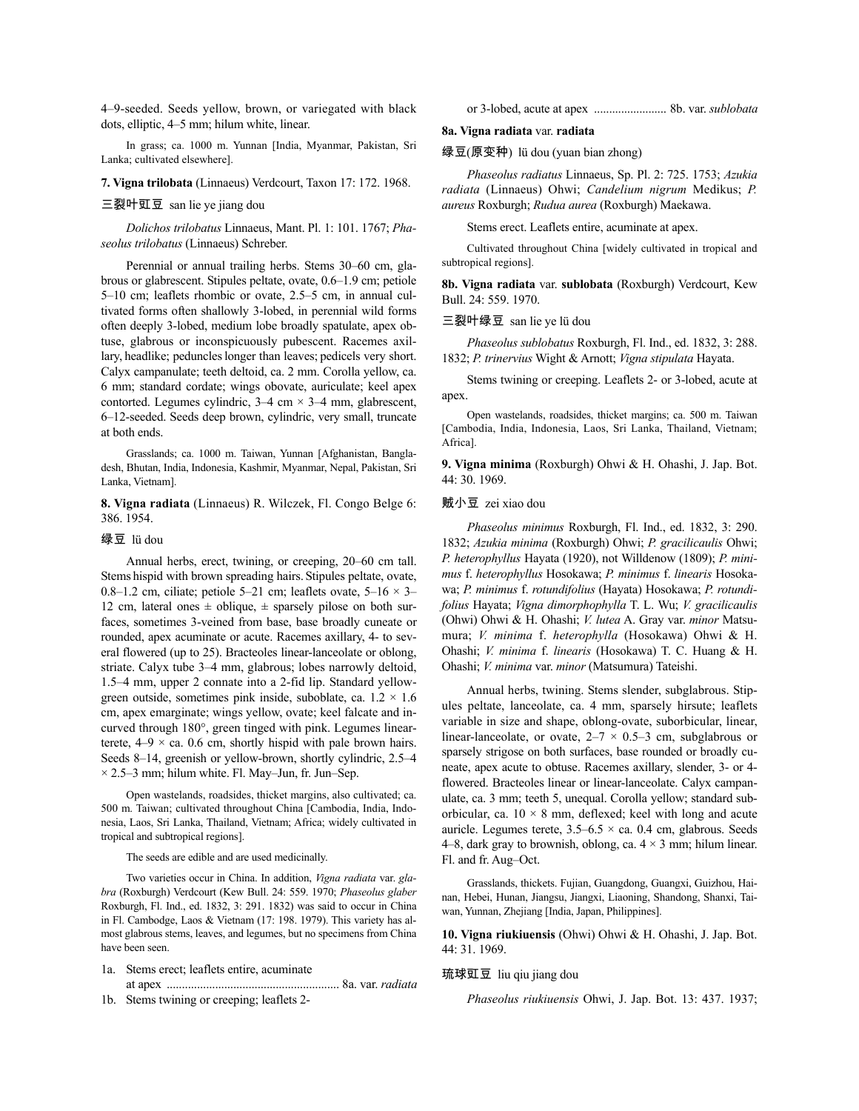4–9-seeded. Seeds yellow, brown, or variegated with black dots, elliptic, 4–5 mm; hilum white, linear.

In grass; ca. 1000 m. Yunnan [India, Myanmar, Pakistan, Sri Lanka; cultivated elsewhere].

**7. Vigna trilobata** (Linnaeus) Verdcourt, Taxon 17: 172. 1968.

## 三裂叶豇豆 san lie ye jiang dou

*Dolichos trilobatus* Linnaeus, Mant. Pl. 1: 101. 1767; *Phaseolus trilobatus* (Linnaeus) Schreber.

Perennial or annual trailing herbs. Stems 30–60 cm, glabrous or glabrescent. Stipules peltate, ovate, 0.6–1.9 cm; petiole 5–10 cm; leaflets rhombic or ovate, 2.5–5 cm, in annual cultivated forms often shallowly 3-lobed, in perennial wild forms often deeply 3-lobed, medium lobe broadly spatulate, apex obtuse, glabrous or inconspicuously pubescent. Racemes axillary, headlike; peduncleslonger than leaves; pedicels very short. Calyx campanulate; teeth deltoid, ca. 2 mm. Corolla yellow, ca. 6 mm; standard cordate; wings obovate, auriculate; keel apex contorted. Legumes cylindric,  $3-4$  cm  $\times$   $3-4$  mm, glabrescent, 6–12-seeded. Seeds deep brown, cylindric, very small, truncate at both ends.

Grasslands; ca. 1000 m. Taiwan, Yunnan [Afghanistan, Bangladesh, Bhutan, India, Indonesia, Kashmir, Myanmar, Nepal, Pakistan, Sri Lanka, Vietnam].

**8. Vigna radiata** (Linnaeus) R. Wilczek, Fl. Congo Belge 6: 386. 1954.

### 绿豆 lü dou

Annual herbs, erect, twining, or creeping, 20–60 cm tall. Stems hispid with brown spreading hairs. Stipules peltate, ovate, 0.8–1.2 cm, ciliate; petiole 5–21 cm; leaflets ovate,  $5-16 \times 3-$ 12 cm, lateral ones  $\pm$  oblique,  $\pm$  sparsely pilose on both surfaces, sometimes 3-veined from base, base broadly cuneate or rounded, apex acuminate or acute. Racemes axillary, 4- to several flowered (up to 25). Bracteoles linear-lanceolate or oblong, striate. Calyx tube 3–4 mm, glabrous; lobes narrowly deltoid, 1.5–4 mm, upper 2 connate into a 2-fid lip. Standard yellowgreen outside, sometimes pink inside, suboblate, ca.  $1.2 \times 1.6$ cm, apex emarginate; wings yellow, ovate; keel falcate and incurved through 180°, green tinged with pink. Legumes linearterete,  $4-9 \times$  ca. 0.6 cm, shortly hispid with pale brown hairs. Seeds 8–14, greenish or yellow-brown, shortly cylindric, 2.5–4  $\times$  2.5–3 mm; hilum white. Fl. May–Jun, fr. Jun–Sep.

Open wastelands, roadsides, thicket margins, also cultivated; ca. 500 m. Taiwan; cultivated throughout China [Cambodia, India, Indonesia, Laos, Sri Lanka, Thailand, Vietnam; Africa; widely cultivated in tropical and subtropical regions].

The seeds are edible and are used medicinally.

Two varieties occur in China. In addition, *Vigna radiata* var. *glabra* (Roxburgh) Verdcourt (Kew Bull. 24: 559. 1970; *Phaseolus glaber* Roxburgh, Fl. Ind., ed. 1832, 3: 291. 1832) was said to occur in China in Fl. Cambodge, Laos & Vietnam (17: 198. 1979). This variety has almost glabrous stems, leaves, and legumes, but no specimens from China have been seen.

- 1a. Stems erect; leaflets entire, acuminate at apex ......................................................... 8a. var. *radiata*
- 1b. Stems twining or creeping; leaflets 2-

#### or 3-lobed, acute at apex ........................ 8b. var. *sublobata*

#### **8a. Vigna radiata** var. **radiata**

#### 绿豆(原变种) lü dou (yuan bian zhong)

*Phaseolus radiatus* Linnaeus, Sp. Pl. 2: 725. 1753; *Azukia radiata* (Linnaeus) Ohwi; *Candelium nigrum* Medikus; *P. aureus* Roxburgh; *Rudua aurea* (Roxburgh) Maekawa.

Stems erect. Leaflets entire, acuminate at apex.

Cultivated throughout China [widely cultivated in tropical and subtropical regions].

**8b. Vigna radiata** var. **sublobata** (Roxburgh) Verdcourt, Kew Bull. 24: 559. 1970.

## 三裂叶绿豆 san lie ye lü dou

*Phaseolus sublobatus* Roxburgh, Fl. Ind., ed. 1832, 3: 288. 1832; *P. trinervius* Wight & Arnott; *Vigna stipulata* Hayata.

Stems twining or creeping. Leaflets 2- or 3-lobed, acute at apex.

Open wastelands, roadsides, thicket margins; ca. 500 m. Taiwan [Cambodia, India, Indonesia, Laos, Sri Lanka, Thailand, Vietnam; Africa].

**9. Vigna minima** (Roxburgh) Ohwi & H. Ohashi, J. Jap. Bot. 44: 30. 1969.

#### 贼小豆 zei xiao dou

*Phaseolus minimus* Roxburgh, Fl. Ind., ed. 1832, 3: 290. 1832; *Azukia minima* (Roxburgh) Ohwi; *P. gracilicaulis* Ohwi; *P. heterophyllus* Hayata (1920), not Willdenow (1809); *P. minimus* f. *heterophyllus* Hosokawa; *P. minimus* f. *linearis* Hosokawa; *P. minimus* f. *rotundifolius* (Hayata) Hosokawa; *P. rotundifolius* Hayata; *Vigna dimorphophylla* T. L. Wu; *V. gracilicaulis* (Ohwi) Ohwi & H. Ohashi; *V. lutea* A. Gray var. *minor* Matsumura; *V. minima* f. *heterophylla* (Hosokawa) Ohwi & H. Ohashi; *V. minima* f. *linearis* (Hosokawa) T. C. Huang & H. Ohashi; *V. minima* var. *minor* (Matsumura) Tateishi.

Annual herbs, twining. Stems slender, subglabrous. Stipules peltate, lanceolate, ca. 4 mm, sparsely hirsute; leaflets variable in size and shape, oblong-ovate, suborbicular, linear, linear-lanceolate, or ovate,  $2-7 \times 0.5-3$  cm, subglabrous or sparsely strigose on both surfaces, base rounded or broadly cuneate, apex acute to obtuse. Racemes axillary, slender, 3- or 4 flowered. Bracteoles linear or linear-lanceolate. Calyx campanulate, ca. 3 mm; teeth 5, unequal. Corolla yellow; standard suborbicular, ca.  $10 \times 8$  mm, deflexed; keel with long and acute auricle. Legumes terete,  $3.5-6.5 \times$  ca. 0.4 cm, glabrous. Seeds 4–8, dark gray to brownish, oblong, ca.  $4 \times 3$  mm; hilum linear. Fl. and fr. Aug–Oct.

Grasslands, thickets. Fujian, Guangdong, Guangxi, Guizhou, Hainan, Hebei, Hunan, Jiangsu, Jiangxi, Liaoning, Shandong, Shanxi, Taiwan, Yunnan, Zhejiang [India, Japan, Philippines].

**10. Vigna riukiuensis** (Ohwi) Ohwi & H. Ohashi, J. Jap. Bot. 44: 31. 1969.

琉球豇豆 liu qiu jiang dou

*Phaseolus riukiuensis* Ohwi, J. Jap. Bot. 13: 437. 1937;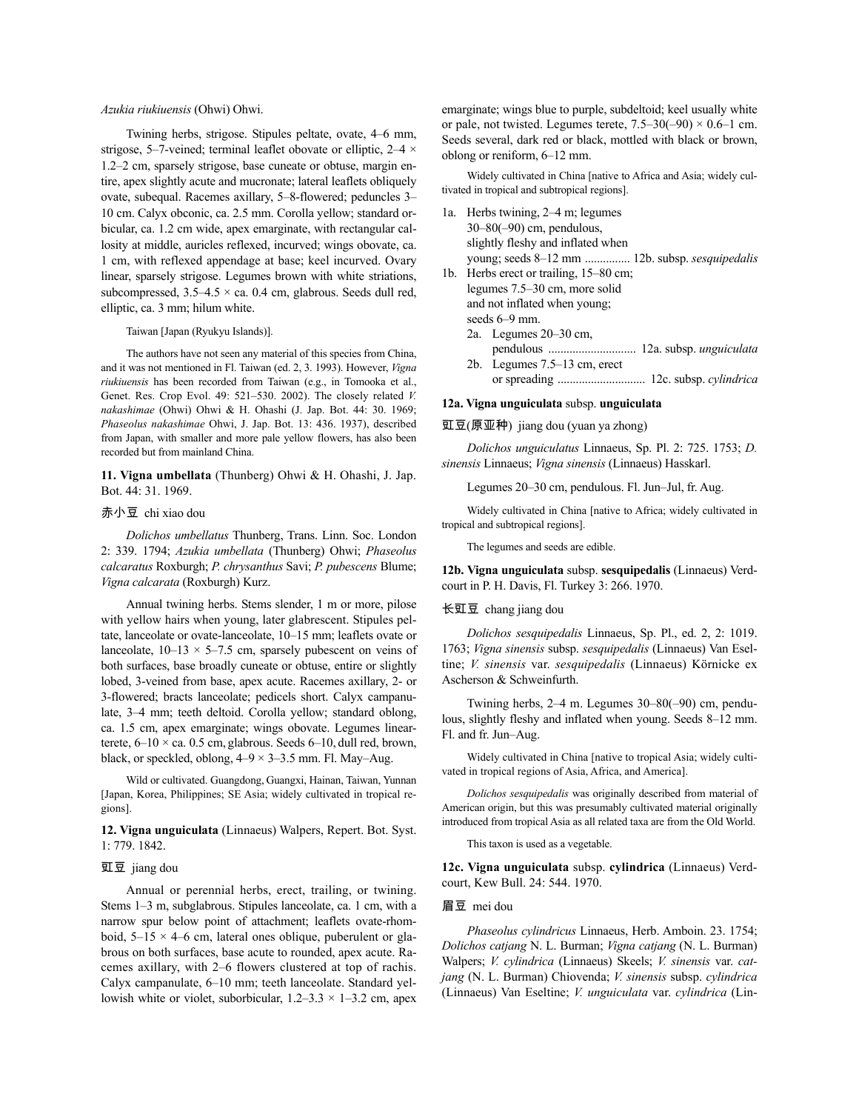#### *Azukia riukiuensis* (Ohwi) Ohwi.

Twining herbs, strigose. Stipules peltate, ovate, 4–6 mm, strigose, 5–7-veined; terminal leaflet obovate or elliptic,  $2-4 \times$ 1.2–2 cm, sparsely strigose, base cuneate or obtuse, margin entire, apex slightly acute and mucronate; lateral leaflets obliquely ovate, subequal. Racemes axillary, 5–8-flowered; peduncles 3– 10 cm. Calyx obconic, ca. 2.5 mm. Corolla yellow; standard orbicular, ca. 1.2 cm wide, apex emarginate, with rectangular callosity at middle, auricles reflexed, incurved; wings obovate, ca. 1 cm, with reflexed appendage at base; keel incurved. Ovary linear, sparsely strigose. Legumes brown with white striations, subcompressed,  $3.5-4.5 \times$  ca. 0.4 cm, glabrous. Seeds dull red, elliptic, ca. 3 mm; hilum white.

## Taiwan [Japan (Ryukyu Islands)].

The authors have not seen any material of this species from China, and it was not mentioned in Fl. Taiwan (ed. 2, 3. 1993). However, *Vigna riukiuensis* has been recorded from Taiwan (e.g., in Tomooka et al., Genet. Res. Crop Evol. 49: 521–530. 2002). The closely related *V. nakashimae* (Ohwi) Ohwi & H. Ohashi (J. Jap. Bot. 44: 30. 1969; *Phaseolus nakashimae* Ohwi, J. Jap. Bot. 13: 436. 1937), described from Japan, with smaller and more pale yellow flowers, has also been recorded but from mainland China.

**11. Vigna umbellata** (Thunberg) Ohwi & H. Ohashi, J. Jap. Bot. 44: 31. 1969.

## 赤小豆 chi xiao dou

*Dolichos umbellatus* Thunberg, Trans. Linn. Soc. London 2: 339. 1794; *Azukia umbellata* (Thunberg) Ohwi; *Phaseolus calcaratus* Roxburgh; *P. chrysanthus* Savi; *P. pubescens* Blume; *Vigna calcarata* (Roxburgh) Kurz.

Annual twining herbs. Stems slender, 1 m or more, pilose with yellow hairs when young, later glabrescent. Stipules peltate, lanceolate or ovate-lanceolate, 10–15 mm; leaflets ovate or lanceolate,  $10-13 \times 5-7.5$  cm, sparsely pubescent on veins of both surfaces, base broadly cuneate or obtuse, entire or slightly lobed, 3-veined from base, apex acute. Racemes axillary, 2- or 3-flowered; bracts lanceolate; pedicels short. Calyx campanulate, 3–4 mm; teeth deltoid. Corolla yellow; standard oblong, ca. 1.5 cm, apex emarginate; wings obovate. Legumes linearterete,  $6-10 \times$  ca. 0.5 cm, glabrous. Seeds  $6-10$ , dull red, brown, black, or speckled, oblong,  $4-9 \times 3-3.5$  mm. Fl. May–Aug.

Wild or cultivated. Guangdong, Guangxi, Hainan, Taiwan, Yunnan [Japan, Korea, Philippines; SE Asia; widely cultivated in tropical regions].

**12. Vigna unguiculata** (Linnaeus) Walpers, Repert. Bot. Syst. 1: 779. 1842.

#### 豇豆 jiang dou

Annual or perennial herbs, erect, trailing, or twining. Stems 1–3 m, subglabrous. Stipules lanceolate, ca. 1 cm, with a narrow spur below point of attachment; leaflets ovate-rhomboid,  $5-15 \times 4-6$  cm, lateral ones oblique, puberulent or glabrous on both surfaces, base acute to rounded, apex acute. Racemes axillary, with 2–6 flowers clustered at top of rachis. Calyx campanulate, 6–10 mm; teeth lanceolate. Standard yellowish white or violet, suborbicular,  $1.2-3.3 \times 1-3.2$  cm, apex emarginate; wings blue to purple, subdeltoid; keel usually white or pale, not twisted. Legumes terete,  $7.5-30(-90) \times 0.6-1$  cm. Seeds several, dark red or black, mottled with black or brown, oblong or reniform, 6–12 mm.

Widely cultivated in China [native to Africa and Asia; widely cultivated in tropical and subtropical regions].

- 1a. Herbs twining, 2–4 m; legumes 30–80(–90) cm, pendulous, slightly fleshy and inflated when young; seeds 8–12 mm ............... 12b. subsp. *sesquipedalis*
- 1b. Herbs erect or trailing, 15–80 cm; legumes 7.5–30 cm, more solid and not inflated when young; seeds 6–9 mm.
	- 2a. Legumes 20–30 cm,
	- pendulous ............................. 12a. subsp. *unguiculata* 2b. Legumes 7.5–13 cm, erect
	- or spreading ............................. 12c. subsp. *cylindrica*

#### **12a. Vigna unguiculata** subsp. **unguiculata**

## 豇豆(原亚种) jiang dou (yuan ya zhong)

*Dolichos unguiculatus* Linnaeus, Sp. Pl. 2: 725. 1753; *D. sinensis* Linnaeus; *Vigna sinensis* (Linnaeus) Hasskarl.

Legumes 20–30 cm, pendulous. Fl. Jun–Jul, fr. Aug.

Widely cultivated in China [native to Africa; widely cultivated in tropical and subtropical regions].

The legumes and seeds are edible.

**12b. Vigna unguiculata** subsp. **sesquipedalis** (Linnaeus) Verdcourt in P. H. Davis, Fl. Turkey 3: 266. 1970.

## 长豇豆 chang jiang dou

*Dolichos sesquipedalis* Linnaeus, Sp. Pl., ed. 2, 2: 1019. 1763; *Vigna sinensis* subsp. *sesquipedalis* (Linnaeus) Van Eseltine; *V. sinensis* var. *sesquipedalis* (Linnaeus) Körnicke ex Ascherson & Schweinfurth.

Twining herbs, 2–4 m. Legumes 30–80(–90) cm, pendulous, slightly fleshy and inflated when young. Seeds 8–12 mm. Fl. and fr. Jun–Aug.

Widely cultivated in China [native to tropical Asia; widely cultivated in tropical regions of Asia, Africa, and America].

*Dolichos sesquipedalis* was originally described from material of American origin, but this was presumably cultivated material originally introduced from tropical Asia as all related taxa are from the Old World.

This taxon is used as a vegetable.

**12c. Vigna unguiculata** subsp. **cylindrica** (Linnaeus) Verdcourt, Kew Bull. 24: 544. 1970.

#### 眉豆 mei dou

*Phaseolus cylindricus* Linnaeus, Herb. Amboin. 23. 1754; *Dolichos catjang* N. L. Burman; *Vigna catjang* (N. L. Burman) Walpers; *V. cylindrica* (Linnaeus) Skeels; *V. sinensis* var. *catjang* (N. L. Burman) Chiovenda; *V. sinensis* subsp. *cylindrica* (Linnaeus) Van Eseltine; *V. unguiculata* var. *cylindrica* (Lin